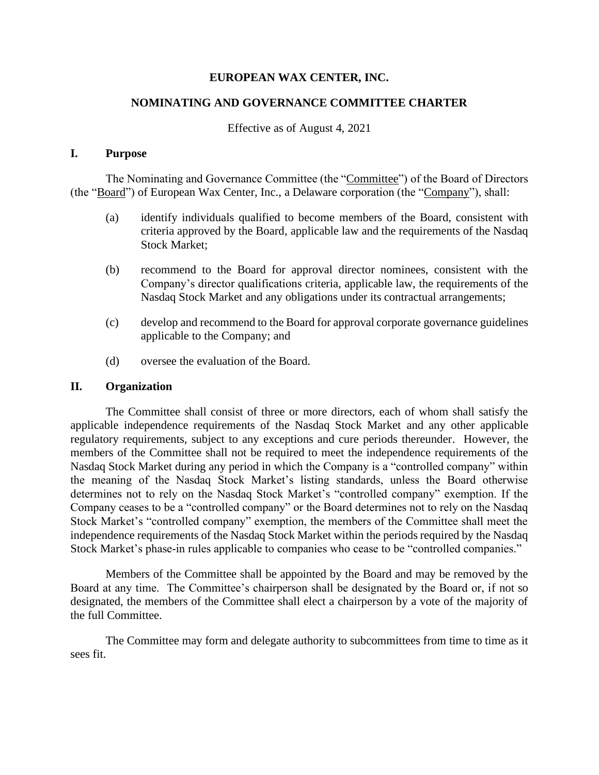# **EUROPEAN WAX CENTER, INC.**

# **NOMINATING AND GOVERNANCE COMMITTEE CHARTER**

## Effective as of August 4, 2021

### **I. Purpose**

The Nominating and Governance Committee (the "Committee") of the Board of Directors (the "Board") of European Wax Center, Inc., a Delaware corporation (the "Company"), shall:

- (a) identify individuals qualified to become members of the Board, consistent with criteria approved by the Board, applicable law and the requirements of the Nasdaq Stock Market;
- (b) recommend to the Board for approval director nominees, consistent with the Company's director qualifications criteria, applicable law, the requirements of the Nasdaq Stock Market and any obligations under its contractual arrangements;
- (c) develop and recommend to the Board for approval corporate governance guidelines applicable to the Company; and
- (d) oversee the evaluation of the Board.

#### **II. Organization**

The Committee shall consist of three or more directors, each of whom shall satisfy the applicable independence requirements of the Nasdaq Stock Market and any other applicable regulatory requirements, subject to any exceptions and cure periods thereunder. However, the members of the Committee shall not be required to meet the independence requirements of the Nasdaq Stock Market during any period in which the Company is a "controlled company" within the meaning of the Nasdaq Stock Market's listing standards, unless the Board otherwise determines not to rely on the Nasdaq Stock Market's "controlled company" exemption. If the Company ceases to be a "controlled company" or the Board determines not to rely on the Nasdaq Stock Market's "controlled company" exemption, the members of the Committee shall meet the independence requirements of the Nasdaq Stock Market within the periods required by the Nasdaq Stock Market's phase-in rules applicable to companies who cease to be "controlled companies."

Members of the Committee shall be appointed by the Board and may be removed by the Board at any time. The Committee's chairperson shall be designated by the Board or, if not so designated, the members of the Committee shall elect a chairperson by a vote of the majority of the full Committee.

The Committee may form and delegate authority to subcommittees from time to time as it sees fit.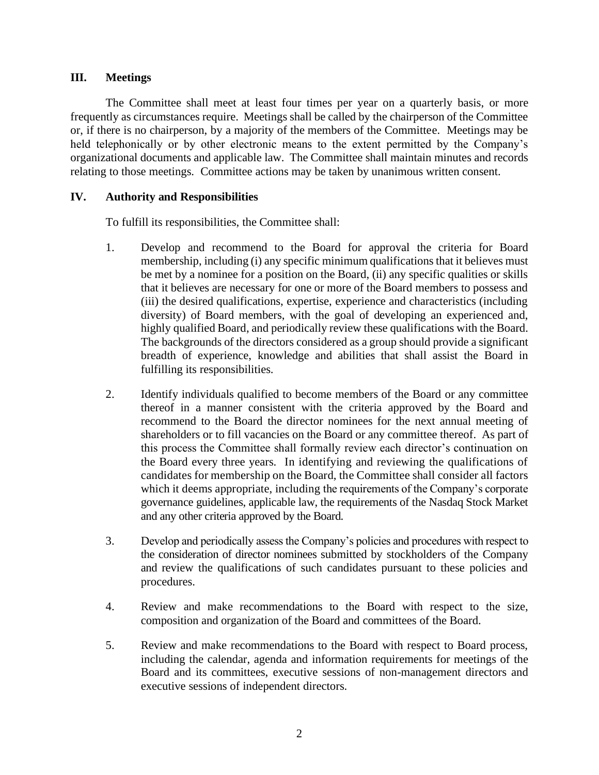## **III. Meetings**

The Committee shall meet at least four times per year on a quarterly basis, or more frequently as circumstances require. Meetings shall be called by the chairperson of the Committee or, if there is no chairperson, by a majority of the members of the Committee. Meetings may be held telephonically or by other electronic means to the extent permitted by the Company's organizational documents and applicable law. The Committee shall maintain minutes and records relating to those meetings. Committee actions may be taken by unanimous written consent.

## **IV. Authority and Responsibilities**

To fulfill its responsibilities, the Committee shall:

- 1. Develop and recommend to the Board for approval the criteria for Board membership, including (i) any specific minimum qualifications that it believes must be met by a nominee for a position on the Board, (ii) any specific qualities or skills that it believes are necessary for one or more of the Board members to possess and (iii) the desired qualifications, expertise, experience and characteristics (including diversity) of Board members, with the goal of developing an experienced and, highly qualified Board, and periodically review these qualifications with the Board. The backgrounds of the directors considered as a group should provide a significant breadth of experience, knowledge and abilities that shall assist the Board in fulfilling its responsibilities.
- 2. Identify individuals qualified to become members of the Board or any committee thereof in a manner consistent with the criteria approved by the Board and recommend to the Board the director nominees for the next annual meeting of shareholders or to fill vacancies on the Board or any committee thereof. As part of this process the Committee shall formally review each director's continuation on the Board every three years. In identifying and reviewing the qualifications of candidates for membership on the Board, the Committee shall consider all factors which it deems appropriate, including the requirements of the Company's corporate governance guidelines, applicable law, the requirements of the Nasdaq Stock Market and any other criteria approved by the Board.
- 3. Develop and periodically assess the Company's policies and procedures with respect to the consideration of director nominees submitted by stockholders of the Company and review the qualifications of such candidates pursuant to these policies and procedures.
- 4. Review and make recommendations to the Board with respect to the size, composition and organization of the Board and committees of the Board.
- 5. Review and make recommendations to the Board with respect to Board process, including the calendar, agenda and information requirements for meetings of the Board and its committees, executive sessions of non-management directors and executive sessions of independent directors.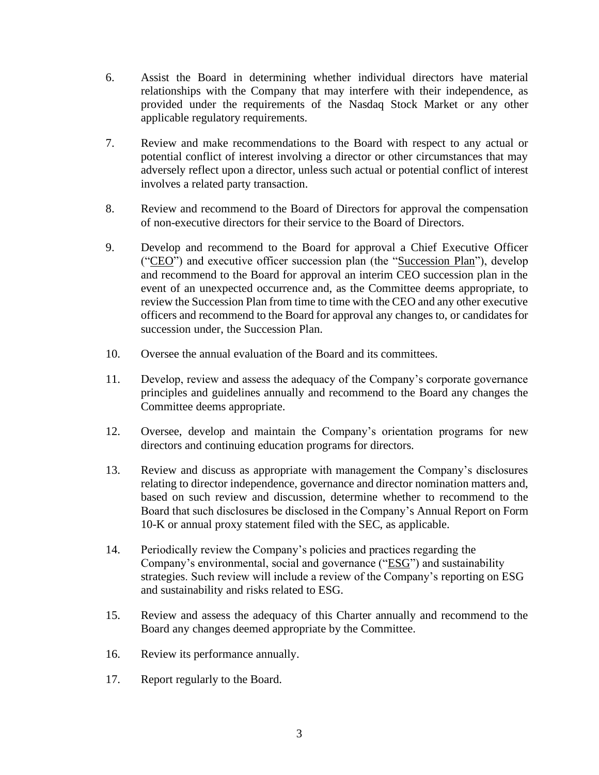- 6. Assist the Board in determining whether individual directors have material relationships with the Company that may interfere with their independence, as provided under the requirements of the Nasdaq Stock Market or any other applicable regulatory requirements.
- 7. Review and make recommendations to the Board with respect to any actual or potential conflict of interest involving a director or other circumstances that may adversely reflect upon a director, unless such actual or potential conflict of interest involves a related party transaction.
- 8. Review and recommend to the Board of Directors for approval the compensation of non-executive directors for their service to the Board of Directors.
- 9. Develop and recommend to the Board for approval a Chief Executive Officer ("CEO") and executive officer succession plan (the "Succession Plan"), develop and recommend to the Board for approval an interim CEO succession plan in the event of an unexpected occurrence and, as the Committee deems appropriate, to review the Succession Plan from time to time with the CEO and any other executive officers and recommend to the Board for approval any changes to, or candidates for succession under, the Succession Plan.
- 10. Oversee the annual evaluation of the Board and its committees.
- 11. Develop, review and assess the adequacy of the Company's corporate governance principles and guidelines annually and recommend to the Board any changes the Committee deems appropriate.
- 12. Oversee, develop and maintain the Company's orientation programs for new directors and continuing education programs for directors.
- 13. Review and discuss as appropriate with management the Company's disclosures relating to director independence, governance and director nomination matters and, based on such review and discussion, determine whether to recommend to the Board that such disclosures be disclosed in the Company's Annual Report on Form 10-K or annual proxy statement filed with the SEC, as applicable.
- 14. Periodically review the Company's policies and practices regarding the Company's environmental, social and governance ("ESG") and sustainability strategies. Such review will include a review of the Company's reporting on ESG and sustainability and risks related to ESG.
- 15. Review and assess the adequacy of this Charter annually and recommend to the Board any changes deemed appropriate by the Committee.
- 16. Review its performance annually.
- 17. Report regularly to the Board.